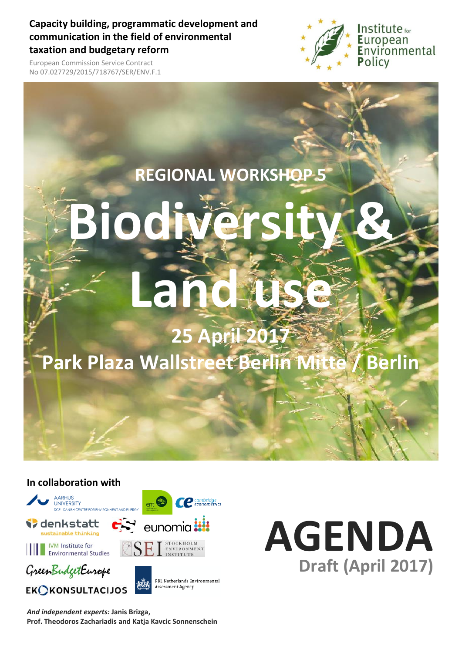**Capacity building, programmatic development and communication in the field of environmental taxation and budgetary reform**



European Commission Service Contract No 07.027729/2015/718767/SER/ENV.F.1

### **REGIONAL WORKSHOP 5**

# ł **Biodi Land**

### **25 April 2017 Park Plaza Wallstreet Berlin Mitte / Berlin**

#### **In collaboration with**



*And independent experts:* **Janis Brizga, Prof. Theodoros Zachariadis and Katja Kavcic Sonnenschein**

## **AGENDA Draft (April 2017)**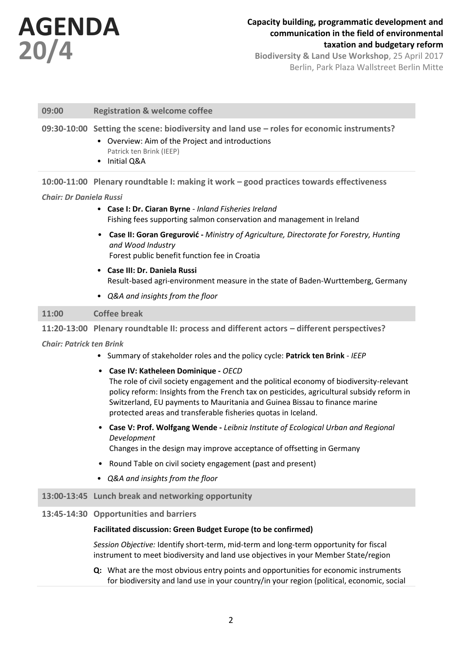

#### **Capacity building, programmatic development and communication in the field of environmental taxation and budgetary reform**

**Biodiversity & Land Use Workshop**, 25 April 2017 Berlin, Park Plaza Wallstreet Berlin Mitte

#### **09:00 Registration & welcome coffee**

#### **09:30-10:00 Setting the scene: biodiversity and land use – roles for economic instruments?**

- Overview: Aim of the Project and introductions Patrick ten Brink (IEEP)
- Initial Q&A

**10:00-11:00 Plenary roundtable I: making it work – good practices towards effectiveness**

#### *Chair: Dr Daniela Russi*

- **Case I: Dr. Ciaran Byrne** *- Inland Fisheries Ireland* Fishing fees supporting salmon conservation and management in Ireland
- **Case II: Goran Gregurović -** *Ministry of Agriculture, Directorate for Forestry, Hunting and Wood Industry* Forest public benefit function fee in Croatia
- **Case III: Dr. Daniela Russi** Result-based agri-environment measure in the state of Baden-Wurttemberg, Germany
- *Q&A and insights from the floor*

#### **11:00 Coffee break**

**11:20-13:00 Plenary roundtable II: process and different actors – different perspectives?**

*Chair: Patrick ten Brink*

- Summary of stakeholder roles and the policy cycle: **Patrick ten Brink** *- IEEP*
- **Case IV: Katheleen Dominique -** *OECD*

The role of civil society engagement and the political economy of biodiversity-relevant policy reform: Insights from the French tax on pesticides, agricultural subsidy reform in Switzerland, EU payments to Mauritania and Guinea Bissau to finance marine protected areas and transferable fisheries quotas in Iceland.

• **Case V: Prof. Wolfgang Wende -** *Leibniz Institute of Ecological Urban and Regional Development*

Changes in the design may improve acceptance of offsetting in Germany

- Round Table on civil society engagement (past and present)
- *Q&A and insights from the floor*

#### **13:00-13:45 Lunch break and networking opportunity**

#### **13:45-14:30 Opportunities and barriers**

#### **Facilitated discussion: Green Budget Europe (to be confirmed)**

*Session Objective:* Identify short-term, mid-term and long-term opportunity for fiscal instrument to meet biodiversity and land use objectives in your Member State/region

**Q:** What are the most obvious entry points and opportunities for economic instruments for biodiversity and land use in your country/in your region (political, economic, social